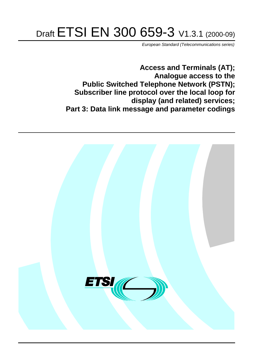# Draft ETSI EN 300 659-3 V1.3.1 (2000-09)

European Standard (Telecommunications series)

**Access and Terminals (AT); Analogue access to the Public Switched Telephone Network (PSTN); Subscriber line protocol over the local loop for display (and related) services; Part 3: Data link message and parameter codings**

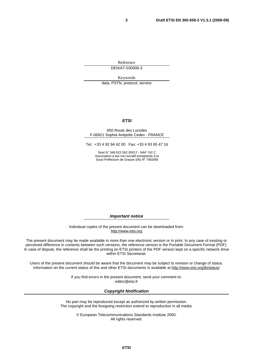Reference DEN/AT-030006-3

Keywords

data, PSTN, protocol, service

#### **ETSI**

#### 650 Route des Lucioles F-06921 Sophia Antipolis Cedex - FRANCE

Tel.: +33 4 92 94 42 00 Fax: +33 4 93 65 47 16

Siret N° 348 623 562 00017 - NAF 742 C Association à but non lucratif enregistrée à la Sous-Préfecture de Grasse (06) N° 7803/88

**Important notice**

Individual copies of the present document can be downloaded from: [http://www.etsi.org](http://www.etsi.org/)

The present document may be made available in more than one electronic version or in print. In any case of existing or perceived difference in contents between such versions, the reference version is the Portable Document Format (PDF). In case of dispute, the reference shall be the printing on ETSI printers of the PDF version kept on a specific network drive within ETSI Secretariat.

Users of the present document should be aware that the document may be subject to revision or change of status. Information on the current status of this and other ETSI documents is available at [http://www.etsi.org/tb/status/](http://www.etsi.org/tb/status)

> If you find errors in the present document, send your comment to: <editor@etsi.fr>

#### **Copyright Notification**

No part may be reproduced except as authorized by written permission. The copyright and the foregoing restriction extend to reproduction in all media.

> © European Telecommunications Standards Institute 2000. All rights reserved.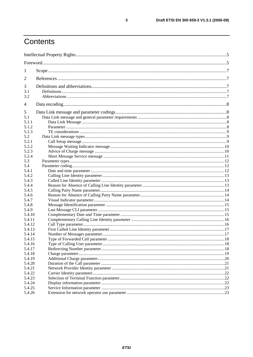## Contents

| 1              |  |    |  |
|----------------|--|----|--|
| 2              |  |    |  |
| 3              |  |    |  |
| 3.1            |  |    |  |
| 3.2            |  |    |  |
| $\overline{4}$ |  |    |  |
| 5              |  |    |  |
| 5.1            |  |    |  |
| 5.1.1          |  |    |  |
| 5.1.2          |  |    |  |
| 5.1.3          |  |    |  |
| 5.2            |  |    |  |
| 5.2.1          |  |    |  |
| 5.2.2          |  |    |  |
| 5.2.3          |  |    |  |
| 5.2.4          |  |    |  |
| 5.3            |  |    |  |
| 5.4            |  |    |  |
| 5.4.1          |  |    |  |
| 5.4.2          |  |    |  |
| 5.4.3          |  |    |  |
| 5.4.4          |  |    |  |
| 5.4.5          |  |    |  |
| 5.4.6          |  |    |  |
| 5.4.7          |  |    |  |
| 5.4.8          |  |    |  |
| 5.4.9          |  |    |  |
| 5.4.10         |  |    |  |
| 5.4.11         |  |    |  |
| 5.4.12         |  |    |  |
| 5.4.13         |  |    |  |
| 5.4.14         |  |    |  |
| 5.4.15         |  |    |  |
| 5.4.16         |  |    |  |
| 5.4.17         |  |    |  |
| 5.4.18         |  |    |  |
| 5.4.19         |  |    |  |
| 5.4.20         |  |    |  |
| 5.4.21         |  |    |  |
| 5.4.22         |  | 22 |  |
| 5.4.23         |  |    |  |
| 5.4.24         |  |    |  |
| 5.4.25         |  |    |  |
| 5.4.26         |  |    |  |

 $\mathbf{3}$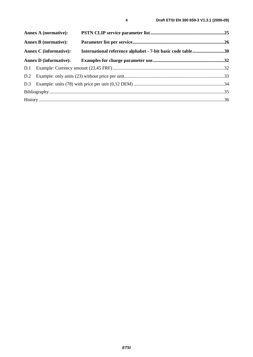| <b>Annex A (normative):</b>   |                                                             |  |
|-------------------------------|-------------------------------------------------------------|--|
| <b>Annex B</b> (normative):   |                                                             |  |
| <b>Annex C</b> (informative): | International reference alphabet - 7-bit basic code table30 |  |
| <b>Annex D</b> (informative): |                                                             |  |
|                               |                                                             |  |
|                               |                                                             |  |
|                               |                                                             |  |
|                               |                                                             |  |
|                               |                                                             |  |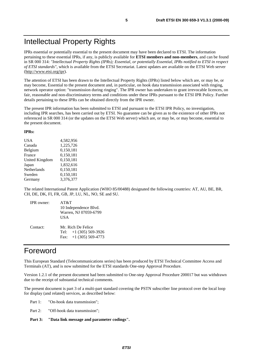IPRs essential or potentially essential to the present document may have been declared to ETSI. The information pertaining to these essential IPRs, if any, is publicly available for **ETSI members and non-members**, and can be found in SR 000 314: *"Intellectual Property Rights (IPRs); Essential, or potentially Essential, IPRs notified to ETSI in respect of ETSI standards"*, which is available from the ETSI Secretariat. Latest updates are available on the ETSI Web server (<http://www.etsi.org/ipr>).

The attention of ETSI has been drawn to the Intellectual Property Rights (IPRs) listed below which are, or may be, or may become, Essential to the present document and, in particular, on hook data transmission associated with ringing, network operator option: "transmission during ringing". The IPR owner has undertaken to grant irrevocable licences, on fair, reasonable and non-discriminatory terms and conditions under these IPRs pursuant to the ETSI IPR Policy. Further details pertaining to these IPRs can be obtained directly from the IPR owner.

The present IPR information has been submitted to ETSI and pursuant to the ETSI IPR Policy, no investigation, including IPR searches, has been carried out by ETSI. No guarantee can be given as to the existence of other IPRs not referenced in SR 000 314 (or the updates on the ETSI Web server) which are, or may be, or may become, essential to the present document.

#### **IPRs:**

| USA            | 4,582,956 |
|----------------|-----------|
| Canada         | 1,225,726 |
| Belgium        | 0,150,181 |
| France         | 0,150,181 |
| United Kingdom | 0,150,181 |
| Japan          | 1,832,616 |
| Netherlands    | 0,150,181 |
| Sweden         | 0,150,181 |
| Germany        | 3,376,377 |
|                |           |

The related International Patent Application (WHO 85/00488) designated the following countries: AT, AU, BE, BR, CH, DE, DK, FI, FR, GB, JP, LU, NL, NO, SE and SU.

| <b>IPR</b> owner: | AT&T<br>10 Independence Blvd.<br>Warren, NJ 07059-6799<br>USA              |
|-------------------|----------------------------------------------------------------------------|
| Contact:          | Mr. Rich De Felice<br>Tel: $+1$ (305) 569-3926<br>Fax: $+1$ (305) 569-4773 |

## Foreword

This European Standard (Telecommunications series) has been produced by ETSI Technical Committee Access and Terminals (AT), and is now submitted for the ETSI standards One-step Approval Procedure.

Version 1.2.1 of the present document had been submitted to One-step Approval Procedure 200017 but was withdrawn due to the receipt of substantial technical comments.

The present document is part 3 of a multi-part standard covering the PSTN subscriber line protocol over the local loop for display (and related) services, as described below:

Part 1: "On-hook data transmission";

Part 2: "Off-hook data transmission";

**Part 3: "Data link message and parameter codings".**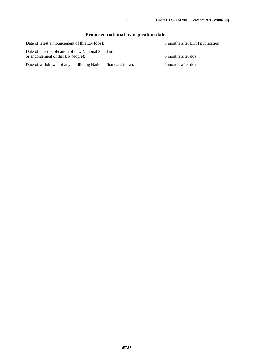| <b>Proposed national transposition dates</b>                                                |                                 |  |  |
|---------------------------------------------------------------------------------------------|---------------------------------|--|--|
| Date of latest announcement of this EN (doa):                                               | 3 months after ETSI publication |  |  |
| Date of latest publication of new National Standard<br>or endorsement of this $EN$ (dop/e): | 6 months after doa              |  |  |
| Date of withdrawal of any conflicting National Standard (dow):                              | 6 months after doa              |  |  |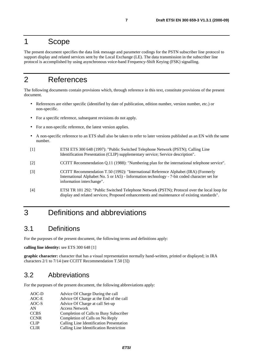## 1 Scope

The present document specifies the data link message and parameter codings for the PSTN subscriber line protocol to support display and related services sent by the Local Exchange (LE). The data transmission in the subscriber line protocol is accomplished by using asynchronous voice-band Frequency-Shift Keying (FSK) signalling.

## 2 References

The following documents contain provisions which, through reference in this text, constitute provisions of the present document.

- References are either specific (identified by date of publication, edition number, version number, etc.) or non-specific.
- For a specific reference, subsequent revisions do not apply.
- For a non-specific reference, the latest version applies.
- A non-specific reference to an ETS shall also be taken to refer to later versions published as an EN with the same number.
- [1] ETSI ETS 300 648 (1997): "Public Switched Telephone Network (PSTN); Calling Line Identification Presentation (CLIP) supplementary service; Service description".
- [2] CCITT Recommendation Q.11 (1988): "Numbering plan for the international telephone service".
- [3] CCITT Recommendation T.50 (1992): "International Reference Alphabet (IRA) (Formerly International Alphabet No. 5 or IA5) - Information technology - 7-bit coded character set for information interchange".
- [4] ETSI TR 101 292: "Public Switched Telephone Network (PSTN); Protocol over the local loop for display and related services; Proposed enhancements and maintenance of existing standards".

## 3 Definitions and abbreviations

## 3.1 Definitions

For the purposes of the present document, the following terms and definitions apply:

**calling line identity:** see ETS 300 648 [1]

**graphic character:** character that has a visual representation normally hand-written, printed or displayed; in IRA characters 2/1 to 7/14 (see CCITT Recommendation T.50 [3])

## 3.2 Abbreviations

For the purposes of the present document, the following abbreviations apply:

| AOC-D       | Advice Of Charge During the call         |
|-------------|------------------------------------------|
| AOC-E       | Advice Of Charge at the End of the call  |
| AOC-S       | Advice Of Charge at call Set-up          |
| AN          | <b>Access Network</b>                    |
| <b>CCBS</b> | Completion of Calls to Busy Subscriber   |
| <b>CCNR</b> | Completion of Calls on No Reply          |
| <b>CLIP</b> | Calling Line Identification Presentation |
| CLIR.       | Calling Line Identification Restriction  |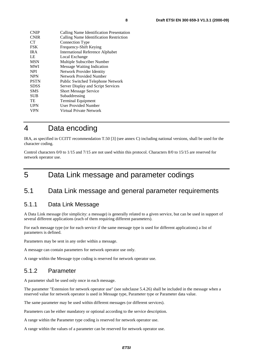| <b>CNIP</b> | Calling Name Identification Presentation |
|-------------|------------------------------------------|
| <b>CNIR</b> | Calling Name Identification Restriction  |
| <b>CT</b>   | Connection Type                          |
| FSK         | Frequency-Shift Keying                   |
| <b>IRA</b>  | <b>International Reference Alphabet</b>  |
| LE          | Local Exchange                           |
| <b>MSN</b>  | Multiple Subscriber Number               |
| <b>MWI</b>  | <b>Message Waiting Indication</b>        |
| <b>NPI</b>  | Network Provider Identity                |
| <b>NPN</b>  | Network Provided Number                  |
| <b>PSTN</b> | Public Switched Telephone Network        |
| <b>SDSS</b> | Server Display and Script Services       |
| <b>SMS</b>  | <b>Short Message Service</b>             |
| <b>SUB</b>  | Subaddressing                            |
| TE          | <b>Terminal Equipment</b>                |
| <b>UPN</b>  | <b>User Provided Number</b>              |
| <b>VPN</b>  | Virtual Private Network                  |
|             |                                          |

## 4 Data encoding

IRA, as specified in CCITT recommendation T.50 [3] (see annex C) including national versions, shall be used for the character coding.

Control characters 0/0 to 1/15 and 7/15 are not used within this protocol. Characters 8/0 to 15/15 are reserved for network operator use.

## 5 Data Link message and parameter codings

### 5.1 Data Link message and general parameter requirements

#### 5.1.1 Data Link Message

A Data Link message (for simplicity: a message) is generally related to a given service, but can be used in support of several different applications (each of them requiring different parameters).

For each message type (or for each service if the same message type is used for different applications) a list of parameters is defined.

Parameters may be sent in any order within a message.

A message can contain parameters for network operator use only.

A range within the Message type coding is reserved for network operator use.

### 5.1.2 Parameter

A parameter shall be used only once in each message.

The parameter "Extension for network operator use" (see subclause 5.4.26) shall be included in the message when a reserved value for network operator is used in Message type, Parameter type or Parameter data value.

The same parameter may be used within different messages (or different services).

Parameters can be either mandatory or optional according to the service description.

A range within the Parameter type coding is reserved for network operator use.

A range within the values of a parameter can be reserved for network operator use.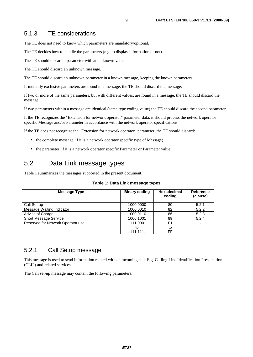#### 5.1.3 TE considerations

The TE does not need to know which parameters are mandatory/optional.

The TE decides how to handle the parameters (e.g. to display information or not).

The TE should discard a parameter with an unknown value.

The TE should discard an unknown message.

The TE should discard an unknown parameter in a known message, keeping the known parameters.

If mutually exclusive parameters are found in a message, the TE should discard the message.

If two or more of the same parameters, but with different values, are found in a message, the TE should discard the message.

If two parameters within a message are identical (same type coding value) the TE should discard the second parameter.

If the TE recognizes the "Extension for network operator" parameter data, it should process the network operator specific Message and/or Parameter in accordance with the network operator specifications.

If the TE does not recognize the "Extension for network operator" parameter, the TE should discard:

- the complete message, if it is a network operator specific type of Message;
- the parameter, if it is a network operator specific Parameter or Parameter value.

## 5.2 Data Link message types

Table 1 summarizes the messages supported in the present document.

| Message Type                      | <b>Binary coding</b> | Hexadecimal<br>coding | Reference<br>(clause) |
|-----------------------------------|----------------------|-----------------------|-----------------------|
| Call Set-up                       | 1000 0000            | 80                    | 5.2.1                 |
| Message Waiting Indicator         | 1000 0010            | 82                    | 5.2.2                 |
| Advice of Charge                  | 1000 0110            | 86                    | 5.2.3                 |
| <b>Short Message Service</b>      | 1000 1001            | 89                    | 5.2.4                 |
| Reserved for Network Operator use | 1111 0001            | F <sub>1</sub>        |                       |
|                                   | to                   | to                    |                       |
|                                   | 1111 1111            | FF                    |                       |

#### **Table 1: Data Link message types**

### 5.2.1 Call Setup message

This message is used to send information related with an incoming call. E.g. Calling Line Identification Presentation (CLIP) and related services.

The Call set-up message may contain the following parameters: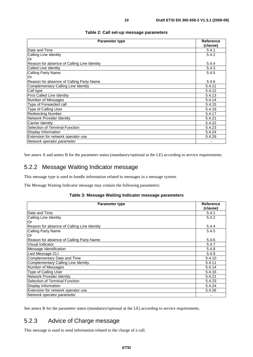#### **Table 2: Call set-up message parameters**

| <b>Parameter type</b>                       |                   |
|---------------------------------------------|-------------------|
| Date and Time                               | (clause)<br>5.4.1 |
| Calling Line Identity                       | 5.4.2             |
| Or                                          |                   |
| Reason for absence of Calling Line Identity | 5.4.4             |
| Called Line Identity                        | 5.4.3             |
| Calling Party Name                          | 5.4.5             |
| Or                                          |                   |
| Reason for absence of Calling Party Name    |                   |
| Complementary Calling Line Identity         |                   |
| Call type                                   |                   |
| <b>First Called Line Identity</b>           |                   |
| Number of Messages                          |                   |
| Type of Forwarded call                      |                   |
| Type of Calling User                        |                   |
| <b>Redirecting Number</b>                   |                   |
| Network Provider Identity                   |                   |
| Carrier Identity                            |                   |
| Selection of Terminal Function              |                   |
| Display Information                         | 5.4.24            |
| Extension for network operator use          |                   |
| Network operator parameter                  |                   |

See annex A and annex B for the parameter status (mandatory/optional at the LE) according to service requirements.

### 5.2.2 Message Waiting Indicator message

This message type is used to handle information related to messages in a message system.

The Message Waiting Indicator message may contain the following parameters:

#### **Table 3: Message Waiting Indicator message parameters**

| <b>Parameter type</b>                       |          |
|---------------------------------------------|----------|
|                                             | (clause) |
| Date and Time                               | 5.4.1    |
| Calling Line Identity                       | 5.4.2    |
| Or                                          |          |
| Reason for absence of Calling Line Identity | 5.4.4    |
| Calling Party Name                          | 5.4.5    |
| Or                                          |          |
| Reason for absence of Calling Party Name    | 5.4.6    |
| Visual Indicator                            | 5.4.7    |
| Message Identification                      |          |
| Last Message CLI                            | 5.4.9    |
| Complementary Date and Time                 | 5.4.10   |
| Complementary Calling Line Identity         | 5.4.11   |
| Number of Messages                          |          |
| Type of Calling User                        | 5.4.16   |
| Network Provider Identity                   | 5.4.21   |
| Selection of Terminal Function              |          |
| Display Information                         | 5.4.24   |
| Extension for network operator use          | 5.4.26   |
| Network operator parameter                  |          |

See annex B for the parameter status (mandatory/optional at the LE) according to service requirements.

### 5.2.3 Advice of Charge message

This message is used to send information related to the charge of a call.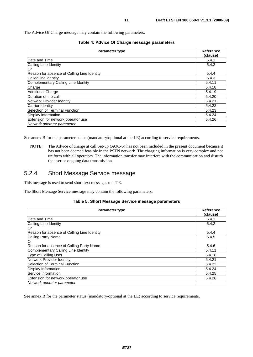| Table 4: Advice Of Charge message parameters |  |  |  |  |
|----------------------------------------------|--|--|--|--|
|----------------------------------------------|--|--|--|--|

| <b>Parameter type</b>                       |          |
|---------------------------------------------|----------|
|                                             | (clause) |
| Date and Time                               | 5.4.1    |
| Calling Line Identity                       | 5.4.2    |
| 'Or                                         |          |
| Reason for absence of Calling Line Identity | 5.4.4    |
| Called line identity                        | 5.4.3    |
| Complementary Calling Line Identity         | 5.4.11   |
| Charge                                      | 5.4.18   |
| <b>Additional Charge</b>                    | 5.4.19   |
| Duration of the call                        | 5.4.20   |
| Network Provider Identity                   |          |
| Carrier Identity                            | 5.4.22   |
| Selection of Terminal Function              |          |
| Display information                         | 5.4.24   |
| Extension for network operator use          |          |
| Network operator parameter                  |          |

See annex B for the parameter status (mandatory/optional at the LE) according to service requirements.

NOTE: The Advice of charge at call Set-up (AOC-S) has not been included in the present document because it has not been deemed feasible in the PSTN network. The charging information is very complex and not uniform with all operators. The information transfer may interfere with the communication and disturb the user or ongoing data transmission.

#### 5.2.4 Short Message Service message

This message is used to send short text messages to a TE.

The Short Message Service message may contain the following parameters:

#### **Table 5: Short Message Service message parameters**

| <b>Parameter type</b>                       | Reference<br>(clause) |
|---------------------------------------------|-----------------------|
| Date and Time                               | 5.4.1                 |
| Calling Line Identity                       | 5.4.2                 |
| Or                                          |                       |
| Reason for absence of Calling Line Identity | 5.4.4                 |
| Calling Party Name                          | 5.4.5                 |
| Or                                          |                       |
| Reason for absence of Calling Party Name    | 5.4.6                 |
| Complementary Calling Line Identity         | 5.4.11                |
| Type of Calling User                        | 5.4.16                |
| Network Provider Identity                   | 5.4.21                |
| Selection of Terminal Function              | 5.4.23                |
| Display Information                         | 5.4.24                |
| Service Information                         | 5.4.25                |
| Extension for network operator use          | 5.4.26                |
| Network operator parameter                  |                       |

See annex B for the parameter status (mandatory/optional at the LE) according to service requirements.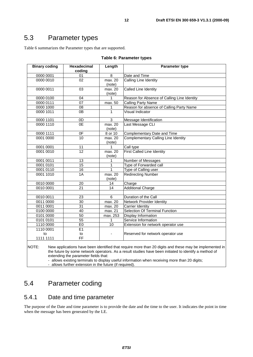## 5.3 Parameter types

Table 6 summarizes the Parameter types that are supported.

| <b>Binary coding</b> | <b>Hexadecimal</b><br>coding | Length            | <b>Parameter type</b>                       |
|----------------------|------------------------------|-------------------|---------------------------------------------|
| 0000 0001            | 01                           | 8                 | Date and Time                               |
| 0000 0010            | 02                           | max. 20<br>(note) | Calling Line Identity                       |
| 0000 0011            | 03                           | max. 20<br>(note) | <b>Called Line Identity</b>                 |
| 0000 0100            | 04                           | 1                 | Reason for Absence of Calling Line Identity |
| 0000 0111            | $\overline{07}$              | max. 50           | <b>Calling Party Name</b>                   |
| 0000 1000            | 08                           | 1                 | Reason for absence of Calling Party Name    |
| 0000 1011            | 0B                           | 1                 | Visual Indicator                            |
| 0000 1101            | 0D                           | 3                 | Message Identification                      |
| 0000 1110            | 0E                           | max. 20<br>(note) | Last Message CLI                            |
| 0000 1111            | 0 <sub>F</sub>               | 8 or 10           | Complementary Date and Time                 |
| 0001 0000            | 10                           | max. 20<br>(note) | <b>Complementary Calling Line Identity</b>  |
| 0001 0001            | 11                           | 1                 | Call type                                   |
| 0001 0010            | $\overline{12}$              | max. 20<br>(note) | <b>First Called Line Identity</b>           |
| 0001 0011            | 13                           | 1                 | Number of Messages                          |
| 0001 0101            | $\overline{15}$              | $\mathbf{1}$      | Type of Forwarded call                      |
| 0001 0110            | 16                           | $\mathbf{1}$      | Type of Calling user                        |
| 0001 1010            | 1A                           | max. 20<br>(note) | <b>Redirecting Number</b>                   |
| 0010 0000            | 20                           | 14                | Charge                                      |
| 0010 0001            | $\overline{2}1$              | 14                | <b>Additional Charge</b>                    |
| 0010 0011            | 23                           | $\overline{6}$    | Duration of the Call                        |
| 0011 0000            | 30                           | max. 20           | Network Provider Identity                   |
| 0011 0001            | 31                           | max. 20           | <b>Carrier Identity</b>                     |
| 0100 0000            | 40                           | max. 21           | <b>Selection Of Terminal Function</b>       |
| 0101 0000            | 50                           | max. 253          | Display Information                         |
| 0101 0101            | $\overline{55}$              | 1                 | Service Information                         |
| 1110 0000            | E <sub>0</sub>               | $\overline{10}$   | Extension for network operator use          |
| 1110 0001            | E1                           |                   |                                             |
| to<br>1111 1111      | to<br>FF                     |                   | Reserved for network operator use           |
| $\sim$ $-$           |                              |                   |                                             |

#### **Table 6: Parameter types**

NOTE: New applications have been identified that require more than 20 digits and these may be implemented in the future by some network operators. As a result studies have been initiated to identify a method of extending the parameter fields that:

- allows existing terminals to display useful information when receiving more than 20 digits;

- allows further extension in the future (if required).

## 5.4 Parameter coding

#### 5.4.1 Date and time parameter

The purpose of the Date and time parameter is to provide the date and the time to the user. It indicates the point in time when the message has been generated by the LE.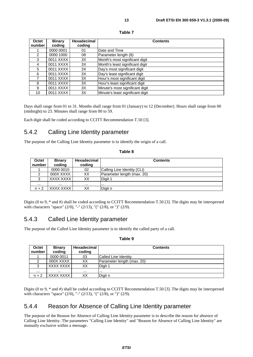| ۰,<br>×<br>۰, |  |
|---------------|--|
|               |  |

| Octet<br>number | <b>Binary</b><br>coding | <b>Hexadecimal</b><br>coding | <b>Contents</b>                  |
|-----------------|-------------------------|------------------------------|----------------------------------|
|                 | 0000 0001               | 01                           | Date and Time                    |
| 2               | 0000 1000               | 08                           | Parameter length (8)             |
| 3               | 0011 XXXX               | 3X                           | Month's most significant digit   |
| 4               | 0011 XXXX               | 3X                           | Month's least significant digit  |
| 5               | 0011 XXXX               | 3X                           | Day's most significant digit     |
| 6               | 0011 XXXX               | 3X                           | Day's least significant digit    |
| 7               | 0011 XXXX               | 3X                           | Hour's most significant digit    |
| 8               | 0011 XXXX               | 3X                           | Hour's least significant digit   |
| 9               | 0011 XXXX               | 3X                           | Minute's most significant digit  |
| 10              | 0011 XXXX               | 3X                           | Minute's least significant digit |

Days shall range from 01 to 31. Months shall range from 01 (January) to 12 (December). Hours shall range from 00 (midnight) to 23. Minutes shall range from 00 to 59.

Each digit shall be coded according to CCITT Recommendation T.50 [3].

## 5.4.2 Calling Line Identity parameter

The purpose of the Calling Line Identity parameter is to identify the origin of a call.

| ۰,<br>× |  |  |
|---------|--|--|
|---------|--|--|

| Octet<br>number | <b>Binary</b><br>coding | <b>Hexadecimal</b><br>coding | <b>Contents</b>             |
|-----------------|-------------------------|------------------------------|-----------------------------|
|                 | 0000 0010               | 02                           | Calling Line Identity (CLI) |
| ົ               | 000X XXXX               | XХ                           | Parameter length (max. 20)  |
| ◠               | XXXX XXXX               | ХX                           | Digit 1                     |
| $\cdots$        | $\cdots$                | $\cdots$                     | $\cdots$                    |
| $n + 2$         | XXXX XXXX               | ХX                           | Digit n                     |

Digits (0 to 9, \* and #) shall be coded according to CCITT Recommendation T.50 [3]. The digits may be interspersed with characters "space" (2/0), "-" (2/13), "(" (2/8), or ")" (2/9).

## 5.4.3 Called Line Identity parameter

The purpose of the Called Line Identity parameter is to identify the called party of a call.

| r.<br>۰, |  |
|----------|--|
|----------|--|

| Octet<br>number | <b>Binary</b><br>coding | Hexadecimal<br>coding | <b>Contents</b>            |
|-----------------|-------------------------|-----------------------|----------------------------|
|                 | 0000 0011               | 03                    | Called Line Identity       |
|                 | 000X XXXX               | XX                    | Parameter length (max. 20) |
| っ               | XXXX XXXX               | XХ                    | Digit 1                    |
| $\cdots$        |                         | $\cdots$              |                            |
| $n + 2$         | XXXX XXXX               | XХ                    | Digit n                    |

Digits (0 to 9, \* and #) shall be coded according to CCITT Recommendation T.50 [3]. The digits may be interspersed with characters "space" (2/0), "-" (2/13), "(" (2/8), or ")" (2/9).

### 5.4.4 Reason for Absence of Calling Line Identity parameter

The purpose of the Reason for Absence of Calling Line Identity parameter is to describe the reason for absence of Calling Line Identity. The parameters "Calling Line Identity" and "Reason for Absence of Calling Line Identity" are mutually exclusive within a message.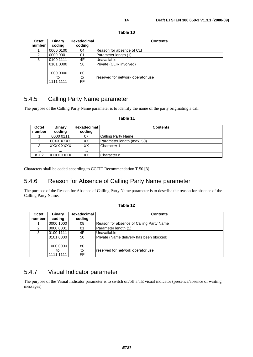| Octet<br>number | <b>Binary</b><br>coding      | <b>Hexadecimal</b><br>coding | <b>Contents</b>                        |
|-----------------|------------------------------|------------------------------|----------------------------------------|
|                 | 0000 0100                    | 04                           | Reason for absence of CLI              |
| 2               | 0000 0001                    | 01                           | Parameter length (1)                   |
| 3               | 0100 1111<br>0101 0000       | 4F<br>50                     | Unavailable<br>Private (CLIR involved) |
|                 | 1000 0000<br>to<br>1111 1111 | 80<br>to<br>FF.              | reserved for network operator use      |

#### **Table 10**

### 5.4.5 Calling Party Name parameter

The purpose of the Calling Party Name parameter is to identify the name of the party originating a call.

#### **Table 11**

| Octet<br>number | <b>Binary</b><br>coding | <b>Hexadecimal</b><br>coding | <b>Contents</b>            |
|-----------------|-------------------------|------------------------------|----------------------------|
|                 | 0000 0111               | 07                           | Calling Party Name         |
|                 | 00XX XXXX               | ХX                           | Parameter length (max. 50) |
| ົ               | XXXX XXXX I             | XХ                           | Character 1                |
| $\cdots$        | $\cdots$                | $\cdots$                     | .                          |
| $n + 2$         | XXXX XXXX I             | ХX                           | Character n                |

Characters shall be coded according to CCITT Recommendation T.50 [3].

## 5.4.6 Reason for Absence of Calling Party Name parameter

The purpose of the Reason for Absence of Calling Party Name parameter is to describe the reason for absence of the Calling Party Name.

| ⊺able |  |  |
|-------|--|--|
|-------|--|--|

| Octet  | <b>Binary</b> | <b>Hexadecimal</b> | <b>Contents</b>                          |
|--------|---------------|--------------------|------------------------------------------|
| number | coding        | coding             |                                          |
|        | 0000 1000     | 08                 | Reason for absence of Calling Party Name |
|        | 0000 0001     | 01                 | Parameter length (1)                     |
| 3      | 0100 1111     | 4F                 | Unavailable                              |
|        | 0101 0000     | 50                 | Private (Name delivery has been blocked) |
|        |               |                    |                                          |
|        | 1000 0000     | 80                 |                                          |
|        | to            | to                 | reserved for network operator use        |
|        | 1111 1111     | <b>FF</b>          |                                          |

## 5.4.7 Visual Indicator parameter

The purpose of the Visual Indicator parameter is to switch on/off a TE visual indicator (presence/absence of waiting messages).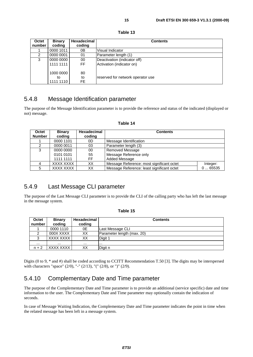| Octet<br>number | <b>Binary</b><br>coding      | Hexadecimal<br>coding | <b>Contents</b>                                           |
|-----------------|------------------------------|-----------------------|-----------------------------------------------------------|
|                 | 0000 1011                    | 0Β                    | Visual Indicator                                          |
| 2               | 0000 0001                    | 01                    | Parameter length (1)                                      |
| 3               | 0000 0000<br>1111 1111       | 00<br>FF              | Deactivation (indicator off)<br>Activation (indicator on) |
|                 | 1000 0000<br>to<br>1111 1110 | 80<br>to<br>FE.       | reserved for network operator use                         |

#### **Table 13**

### 5.4.8 Message Identification parameter

The purpose of the Message Identification parameter is to provide the reference and status of the indicated (displayed or not) message.

#### **Table 14**

| Octet         | <b>Binary</b> | Hexadecimal | <b>Contents</b>                            |          |
|---------------|---------------|-------------|--------------------------------------------|----------|
| <b>Number</b> | coding        | coding      |                                            |          |
|               | 0000 1101     | 0D          | Message Identification                     |          |
| 2             | 0000 0011     | 03          | Parameter length (3)                       |          |
| 3             | 0000 0000     | 00          | Removed Message                            |          |
|               | 0101 0101     | 55          | Message Reference only                     |          |
|               | 1111 1111     | FF.         | Added Message                              |          |
|               | XXXX XXXX     | XХ          | Message Reference: most significant octet  | Integer: |
|               | XXXX XXXX     | XX          | Message Reference: least significant octet | 065535   |

### 5.4.9 Last Message CLI parameter

The purpose of the Last Message CLI parameter is to provide the CLI of the calling party who has left the last message in the message system.

#### **Table 15**

| Octet    | <b>Binary</b> | Hexadecimal | <b>Contents</b>            |
|----------|---------------|-------------|----------------------------|
| number   | coding        | coding      |                            |
|          | 0000 1110     | 0E          | Last Message CLI           |
|          | 000X XXXX     | ХX          | Parameter length (max. 20) |
|          | XXXX XXXX     | ХX          | Digit 1                    |
| $\cdots$ |               | $\cdots$    | .                          |
| $n + 2$  | XXXX XXXX     | XХ          | Digit n                    |

Digits (0 to 9, \* and #) shall be coded according to CCITT Recommendation T.50 [3]. The digits may be interspersed with characters "space" (2/0), "-" (2/13), "(" (2/8), or ")" (2/9).

### 5.4.10 Complementary Date and Time parameter

The purpose of the Complementary Date and Time parameter is to provide an additional (service specific) date and time information to the user. The Complementary Date and Time parameter may optionally contain the indication of seconds.

In case of Message Waiting Indication, the Complementary Date and Time parameter indicates the point in time when the related message has been left in a message system.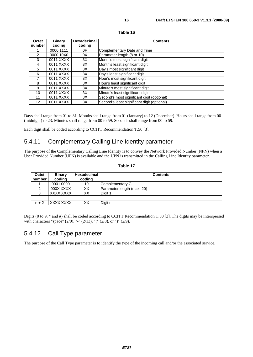| Octet<br>number   | <b>Binary</b><br>coding | <b>Hexadecimal</b><br>coding | <b>Contents</b>                             |
|-------------------|-------------------------|------------------------------|---------------------------------------------|
|                   | 0000 1111               | 0F                           | Complementary Date and Time                 |
| 2                 | 0000 10X0               | 0X                           | Parameter length (8 or 10)                  |
| 3                 | 0011 XXXX               | 3X                           | Month's most significant digit              |
| 4                 | 0011 XXXX               | 3X                           | Month's least significant digit             |
| 5                 | 0011 XXXX               | 3X                           | Day's most significant digit                |
| 6                 | 0011 XXXX               | 3X                           | Day's least significant digit               |
|                   | 0011 XXXX               | 3X                           | Hour's most significant digit               |
| 8                 | 0011 XXXX               | 3X                           | Hour's least significant digit              |
| 9                 | 0011 XXXX               | 3X                           | Minute's most significant digit             |
| 10                | 0011 XXXX               | 3X                           | Minute's least significant digit            |
| 11                | 0011 XXXX               | 3X                           | Second's most significant digit (optional)  |
| $12 \overline{ }$ | 0011 XXXX               | 3X                           | Second's least significant digit (optional) |

**Table 16**

Days shall range from 01 to 31. Months shall range from 01 (January) to 12 (December). Hours shall range from 00 (midnight) to 23. Minutes shall range from 00 to 59. Seconds shall range from 00 to 59.

Each digit shall be coded according to CCITT Recommendation T.50 [3].

### 5.4.11 Complementary Calling Line Identity parameter

The purpose of the Complementary Calling Line Identity is to convey the Network Provided Number (NPN) when a User Provided Number (UPN) is available and the UPN is transmitted in the Calling Line Identity parameter.

| Octet<br>number | <b>Binary</b><br>coding | Hexadecimal<br>coding | <b>Contents</b>            |
|-----------------|-------------------------|-----------------------|----------------------------|
|                 | 0001 0000               | 10                    | Complementary CLI          |
|                 | 000X XXXX               | ХX                    | Parameter length (max. 20) |
| 3               | XXXX XXXX               | XХ                    | Digit 1                    |
| $\cdots$        | $\cdots$                | $\cdots$              | $\cdots$                   |
| $n + 2$         | XXXX XXXX               | XХ                    | Digit n                    |

**Table 17**

Digits (0 to 9, \* and #) shall be coded according to CCITT Recommendation T.50 [3]. The digits may be interspersed with characters "space" (2/0), "-" (2/13), "(" (2/8), or ")" (2/9).

#### 5.4.12 Call Type parameter

The purpose of the Call Type parameter is to identify the type of the incoming call and/or the associated service.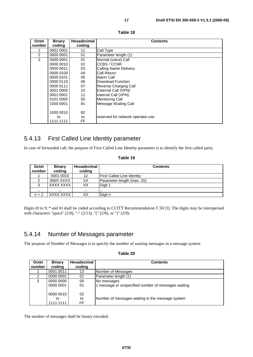| Octet          | <b>Binary</b> | <b>Hexadecimal</b> | <b>Contents</b>                   |
|----------------|---------------|--------------------|-----------------------------------|
| number         | coding        | coding             |                                   |
|                | 0001 0001     | 11                 | Call Type                         |
| $\overline{2}$ | 0000 0001     | 01                 | Parameter length (1)              |
| 3              | 0000 0001     | 01                 | Normal (voice) Call               |
|                | 0000 0010     | 02                 | ICCBS / CCNR                      |
|                | 0000 0011     | 03                 | Calling Name Delivery             |
|                | 0000 0100     | 04                 | lCall Return                      |
|                | 0000 0101     | 05                 | Alarm Call                        |
|                | 0000 0110     | 06                 | Download Function                 |
|                | 0000 0111     | 07                 | Reverse Charging Call             |
|                | 0001 0000     | 10                 | External Call (VPN)               |
|                | 0001 0001     | 11                 | Internal Call (VPN)               |
|                | 0101 0000     | 50                 | <b>Monitoring Call</b>            |
|                | 1000 0001     | 81                 | Message Waiting Call              |
|                |               |                    |                                   |
|                | 1000 0010     | 82                 |                                   |
|                | to            | to                 | reserved for network operator use |
|                | 1111 1111     | FF                 |                                   |

#### **Table 18**

### 5.4.13 First Called Line Identity parameter

In case of forwarded call, the purpose of First Called Line Identity parameter is to identify the first called party.

| Octet<br>number | <b>Binary</b><br>coding | <b>Hexadecimal</b><br>coding | <b>Contents</b>                   |
|-----------------|-------------------------|------------------------------|-----------------------------------|
|                 | 0001 0010               | 12                           | <b>First Called Line Identity</b> |
| 2               | 000X XXXX               | XХ                           | Parameter length (max. 20)        |
| 3               | XXXX XXXX               | XХ                           | Digit 1                           |
| $\cdots$        | $\cdots$                |                              |                                   |
| $n + 2$         | XXXX XXXX               | XХ                           | Digit n                           |

**Table 19**

Digits (0 to 9, \* and #) shall be coded according to CCITT Recommendation T.50 [3]. The digits may be interspersed with characters "space" (2/0), "-" (2/13), "(" (2/8), or ")" (2/9).

### 5.4.14 Number of Messages parameter

├

The purpose of Number of Messages is to specify the number of waiting messages in a message system.

|  |  |  | Table 20 |
|--|--|--|----------|
|--|--|--|----------|

| Octet  | <b>Binary</b> | Hexadecimal | <b>Contents</b>                                     |
|--------|---------------|-------------|-----------------------------------------------------|
| number | coding        | coding      |                                                     |
|        | 0001 0011     | 13          | Number of Messages                                  |
| 2      | 0000 0001     | 01          | Parameter length (1)                                |
| 3      | 0000 0000     | 00          | No messages                                         |
|        | 0000 0001     | 01          | 1 message or unspecified number of messages waiting |
|        |               |             |                                                     |
|        | 0000 0010     | 02          |                                                     |
|        | to            | to          | Number of messages waiting in the message system    |
|        | 1111 1111     | FF.         |                                                     |

The number of messages shall be binary encoded.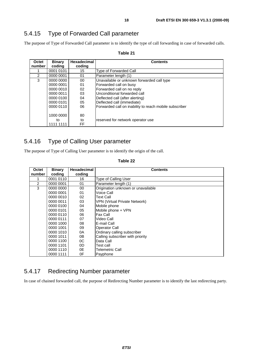## 5.4.15 Type of Forwarded Call parameter

The purpose of Type of Forwarded Call parameter is to identify the type of call forwarding in case of forwarded calls.

| Octet          | <b>Binary</b> | Hexadecimal | <b>Contents</b>                                        |
|----------------|---------------|-------------|--------------------------------------------------------|
| number         | coding        | coding      |                                                        |
|                | 0001 0101     | 15          | Type of Forwarded Call                                 |
| $\overline{2}$ | 0000 0001     | 01          | Parameter length (1)                                   |
| 3              | 0000 0000     | 00          | Unavailable or unknown forwarded call type             |
|                | 0000 0001     | 01          | Forwarded call on busy                                 |
|                | 0000 0010     | 02          | Forwarded call on no reply                             |
|                | 0000 0011     | 03          | Unconditional forwarded call                           |
|                | 0000 0100     | 04          | Deflected call (after alerting)                        |
|                | 0000 0101     | 05          | Deflected call (immediate)                             |
|                | 0000 0110     | 06          | Forwarded call on inability to reach mobile subscriber |
|                |               |             |                                                        |
|                | 1000 0000     | 80          |                                                        |
|                | to            | to          | reserved for network operator use                      |
|                | 1111 1111     | FF          |                                                        |

#### **Table 21**

## 5.4.16 Type of Calling User parameter

The purpose of Type of Calling User parameter is to identify the origin of the call.

| Octet  | Binary    | Hexadecimal | <b>Contents</b>                      |
|--------|-----------|-------------|--------------------------------------|
| number | coding    | coding      |                                      |
|        | 0001 0110 | 16          | <b>Type of Calling User</b>          |
| 2      | 0000 0001 | 01          | Parameter length (1)                 |
| 3      | 0000 0000 | 00          | Origination unknown or unavailable   |
|        | 0000 0001 | 01          | Voice Call                           |
|        | 0000 0010 | 02          | Text Call                            |
|        | 0000 0011 | 03          | <b>VPN (Virtual Private Network)</b> |
|        | 0000 0100 | 04          | Mobile phone                         |
|        | 0000 0101 | 05          | Mobile phone + VPN                   |
|        | 0000 0110 | 06          | <b>Fax Call</b>                      |
|        | 0000 0111 | 07          | Video Call                           |
|        | 0000 1000 | 08          | E-mail Call                          |
|        | 0000 1001 | 09          | Operator Call                        |
|        | 0000 1010 | 0А          | Ordinary calling subscriber          |
|        | 0000 1011 | 0B          | Calling subscriber with priority     |
|        | 0000 1100 | 0C          | Data Call                            |
|        | 0000 1101 | 0D          | Test call                            |
|        | 0000 1110 | 0E          | Telemetric Call                      |
|        | 0000 1111 | 0F          | Payphone                             |

#### **Table 22**

### 5.4.17 Redirecting Number parameter

In case of chained forwarded call, the purpose of Redirecting Number parameter is to identify the last redirecting party.

**ETSI**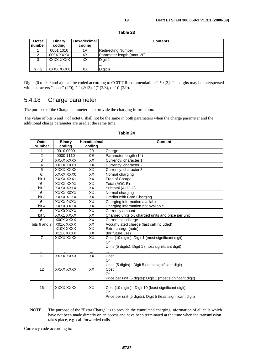| Octet<br>number | <b>Binary</b><br>coding | <b>Hexadecimal</b><br>coding | <b>Contents</b>            |
|-----------------|-------------------------|------------------------------|----------------------------|
|                 | 0001 1010               | 1Α                           | <b>Redirecting Number</b>  |
| $\mathfrak{p}$  | 000X XXXX               | XХ                           | Parameter length (max. 20) |
| 3               | XXXX XXXX I             | XХ                           | Digit 1                    |
| $\cdots$        | $\cdots$                | $\cdots$                     |                            |
| $n + 2$         | XXXX XXXX I             | XХ                           | Digit n                    |

**Table 23**

Digits (0 to 9, \* and #) shall be coded according to CCITT Recommendation T.50 [3]. The digits may be interspersed with characters "space" (2/0), "-" (2/13), "(" (2/8), or ")" (2/9).

## 5.4.18 Charge parameter

The purpose of the Charge parameter is to provide the charging information.

The value of bits 6 and 7 of octet 6 shall not be the same in both parameters when the charge parameter and the additional charge parameter are used at the same time.

| Octet          | <b>Binary</b>    | Hexadecimal     | <b>Content</b>                                               |
|----------------|------------------|-----------------|--------------------------------------------------------------|
| <b>Number</b>  | coding           | coding          |                                                              |
| 1              | 0010 0000        | 20              | Charge                                                       |
| $\overline{2}$ | 0000 1110        | 0E              | Parameter length (14)                                        |
| 3              | <b>XXXX XXXX</b> | $\overline{XX}$ | Currency: character 1                                        |
| $\overline{4}$ | XXXX XXXX        | XX              | Currency: character 2                                        |
| $\overline{5}$ | XXXX XXXX        | XX              | Currency: character 3                                        |
| 6:             | XXXX XXX0        | XX              | Normal charging                                              |
| bit 1          | XXXX XXX1        | XX              | Free of Charge                                               |
| 6:             | XXXX XX0X        | XX              | Total (AOC-E)                                                |
| bit 2          | XXXX XX1X        | XX              | Subtotal (AOC-D)                                             |
| 6:             | XXXX X0XX        | XX              | Normal charging                                              |
| bit 3          | XXXX X1XX        | XX              | Credit/Debit Card Charging                                   |
| 6:             | XXXX 0XXX        | XX              | Charging information available                               |
| bit 4          | XXXX 1XXX        | XX              | Charging information not available                           |
| 6:             | XXX0 XXXX        | $\overline{XX}$ | Currency amount                                              |
| bit 5          | XXX1 XXXX        | XX              | Charged units or, charged units and price per unit           |
| 6:             | X00X XXXX        | $\overline{XX}$ | Current call charge                                          |
| bits 6 and 7   | X01X XXXX        | XX              | Accumulated charge (last call included)                      |
|                | X10X XXXX        | XX              | Extra charge (note)                                          |
|                | X11X XXXX        | ХX              | (for future use)                                             |
| $\overline{7}$ | <b>XXXX XXXX</b> | $\overline{XX}$ | Cost (10 digits): Digit 1 (most significant digit)           |
|                |                  |                 | Or                                                           |
|                |                  |                 | Units (5 digits): Digit 1 (most significant digit)           |
|                |                  |                 |                                                              |
| 11             | <b>XXXX XXXX</b> | XX              | Cost                                                         |
|                |                  |                 | Or                                                           |
|                |                  |                 | Units (5 digits) : Digit 5 (least significant digit)         |
| 12             | XXXX XXXX        | XX              | Cost                                                         |
|                |                  |                 | Or                                                           |
|                |                  |                 | Price per unit (5 digits): Digit 1 (most significant digit)  |
| $\cdots$       | $\cdots$         | $\cdots$        |                                                              |
| 16             | <b>XXXX XXXX</b> | $\overline{XX}$ | Cost (10 digits) : Digit 10 (least significant digit)        |
|                |                  |                 | Or                                                           |
|                |                  |                 | Price per unit (5 digits): Digit 5 (least significant digit) |

#### **Table 24**

NOTE: The purpose of the "Extra Charge" is to provide the cumulated charging information of all calls which have not been made directly on an access and have been terminated at the time when the transmission takes place, e.g. call forwarded calls.

Currency code according to: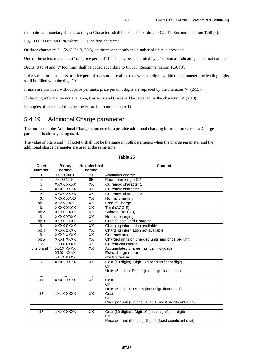international monetary 3-letter acronym Characters shall be coded according to CCITT Recommendation T.50 [3].

E.g. "ITL" is Italian Lira, where "I" is the first character.

Or three characters "-" (2/13, 2/13, 2/13), in the case that only the number of units is provided.

One of the octets in the "cost" or "price per unit" fields may be substituted by "," (comma) indicating a decimal comma.

Digits (0 to 9) and "," (comma) shall be coded according to CCITT Recommendation T.50 [3].

If the value for cost, units or price per unit does not use all of the available digits within the parameter, the leading digits shall be filled with the digit "0".

If units are provided without price per units, price per unit digits are replaced by the character "-" (2/13).

If charging information not available, Currency and Cost shall be replaced by the character "-" (2/13).

Examples of the use of this parameter can be found in annex D.

#### 5.4.19 Additional Charge parameter

The purpose of the Additional Charge parameter is to provide additional charging information when the Charge parameter is already being used.

The value of bits 6 and 7 of octet 6 shall not be the same in both parameters when the charge parameter and the additional charge parameter are used at the same time.

| Octet          | <b>Binary</b>    | Hexadecimal     | <b>Content</b>                                               |
|----------------|------------------|-----------------|--------------------------------------------------------------|
| <b>Number</b>  | coding           | coding          |                                                              |
| 1              | 0010 0001        | 21              | Additional charge                                            |
| $\overline{2}$ | 0000 1110        | 0E              | Parameter length (14)                                        |
| $\overline{3}$ | XXXX XXXX        | XX              | Currency: character 1                                        |
| $\overline{4}$ | XXXX XXXX        | XX              | Currency: character 2                                        |
| 5              | XXXX XXXX        | XX              | Currency: character 3                                        |
| 6:             | XXXX XXX0        | <b>XX</b>       | Normal charging                                              |
| bit 1          | XXXX XXX1        | XX              | Free of Charge                                               |
| 6:             | XXXX XX0X        | $\overline{XX}$ | Total (AOC-E)                                                |
| bit 2          | XXXX XX1X        | XX              | Subtotal (AOC-D)                                             |
| 6:             | XXXX X0XX        | XX              | Normal charging                                              |
| bit 3          | XXXX X1XX        | XX              | Credit/Debit Card Charging                                   |
| 6:             | XXXX 0XXX        | XX              | Charging information available                               |
| bit 4          | XXXX 1XXX        | XX              | Charging information not available                           |
| 6:             | XXX0 XXXX        | XX              | Currency amount                                              |
| bit 5          | XXX1 XXXX        | XX              | Charged units or, charged units and price per unit           |
| 6:             | X00X XXXX        | XX              | Current call charge                                          |
| bits 6 and 7   | X01X XXXX        | XX              | Accumulated charge (last call included)                      |
|                | X10X XXXX        |                 | Extra charge (note)                                          |
|                | X11X XXXX        |                 | (for future use)                                             |
| $\overline{7}$ | <b>XXXX XXXX</b> | XX              | Cost (10 digits): Digit 1 (most significant digit)           |
|                |                  |                 | Or                                                           |
|                |                  |                 | Units (5 digits): Digit 1 (most significant digit)           |
| $\cdots$       |                  | $\cdots$        | .                                                            |
| 11             | <b>XXXX XXXX</b> | XX              | Cost                                                         |
|                |                  |                 | Or                                                           |
|                |                  |                 | Units (5 digits) : Digit 5 (least significant digit)         |
| 12             | XXXX XXXX        | $\overline{XX}$ | Cost                                                         |
|                |                  |                 | Or                                                           |
|                |                  |                 | Price per unit (5 digits): Digit 1 (most significant digit)  |
|                |                  |                 |                                                              |
| 16             | <b>XXXX XXXX</b> | XX              | Cost (10 digits) : Digit 10 (least significant digit)        |
|                |                  |                 | Or                                                           |
|                |                  |                 | Price per unit (5 digits): Digit 5 (least significant digit) |

**Table 25**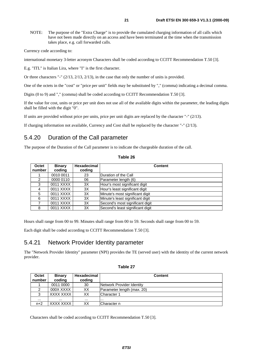NOTE: The purpose of the "Extra Charge" is to provide the cumulated charging information of all calls which have not been made directly on an access and have been terminated at the time when the transmission takes place, e.g. call forwarded calls.

Currency code according to:

international monetary 3-letter acronym Characters shall be coded according to CCITT Recommendation T.50 [3].

E.g. "ITL" is Italian Lira, where "I" is the first character.

Or three characters "-"  $(2/13, 2/13, 2/13)$ , in the case that only the number of units is provided.

One of the octets in the "cost" or "price per unit" fields may be substituted by "," (comma) indicating a decimal comma.

Digits (0 to 9) and "," (comma) shall be coded according to CCITT Recommendation T.50 [3].

If the value for cost, units or price per unit does not use all of the available digits within the parameter, the leading digits shall be filled with the digit "0".

If units are provided without price per units, price per unit digits are replaced by the character "-" (2/13).

If charging information not available, Currency and Cost shall be replaced by the character "-" (2/13).

### 5.4.20 Duration of the Call parameter

The purpose of the Duration of the Call parameter is to indicate the chargeable duration of the call.

| Octet<br>number | <b>Binary</b><br>coding | Hexadecimal<br>coding | <b>Content</b>                   |
|-----------------|-------------------------|-----------------------|----------------------------------|
|                 | 0010 0011               | 23                    | Duration of the Call             |
| 2               | 0000 0110               | 06                    | Parameter length (6)             |
| 3               | 0011 XXXX               | 3X                    | Hour's most significant digit    |
| 4               | 0011 XXXX               | 3X                    | Hour's least significant digit   |
| 5               | 0011 XXXX               | 3X                    | Minute's most significant digit  |
| 6               | 0011 XXXX               | 3X                    | Minute's least significant digit |
|                 | 0011 XXXX               | 3X                    | Second's most significant digit  |
| 8               | 0011 XXXX               | 3X                    | Second's least significant digit |

#### **Table 26**

Hours shall range from 00 to 99. Minutes shall range from 00 to 59. Seconds shall range from 00 to 59.

Each digit shall be coded according to CCITT Recommendation T.50 [3].

#### 5.4.21 Network Provider Identity parameter

The "Network Provider Identity" parameter (NPI) provides the TE (served user) with the identity of the current network provider.

| able |  |  |
|------|--|--|
|------|--|--|

| <b>Octet</b> | <b>Binary</b> | Hexadecimal | <b>Content</b>             |
|--------------|---------------|-------------|----------------------------|
| number       | coding        | coding      |                            |
|              | 0011 0000     | 30          | Network Provider Identity  |
|              | 000X XXXX     | XХ          | Parameter length (max. 20) |
| っ            | XXXX XXXX     | XХ          | ICharacter 1               |
| $\cdots$     | $\cdots$      | $\cdots$    |                            |
| $n+2$        | XXXX XXXX     | XХ          | Character n                |

Characters shall be coded according to CCITT Recommendation T.50 [3].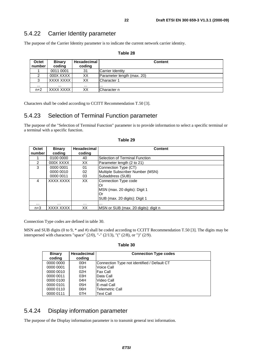### 5.4.22 Carrier Identity parameter

The purpose of the Carrier Identity parameter is to indicate the current network carrier identity.

| Octet<br>number | <b>Binary</b><br>coding | Hexadecimal<br>coding | <b>Content</b>             |
|-----------------|-------------------------|-----------------------|----------------------------|
|                 | 0011 0001               | 31                    | Carrier Identity           |
| 2               | 000X XXXX               | ХX                    | Parameter length (max. 20) |
| 3               | XXXX XXXX               | XХ                    | Character 1                |
| $\cdots$        |                         | $\cdots$              | .                          |
| $n+2$           | XXXX XXXX               | XХ                    | lCharacter n               |

#### **Table 28**

Characters shall be coded according to CCITT Recommendation T.50 [3].

### 5.4.23 Selection of Terminal Function parameter

The purpose of the "Selection of Terminal Function" parameter is to provide information to select a specific terminal or a terminal with a specific function.

| Octet<br>number | <b>Binary</b><br>coding | <b>Hexadecimal</b><br>coding | <b>Content</b>                                                                                     |
|-----------------|-------------------------|------------------------------|----------------------------------------------------------------------------------------------------|
|                 | 0100 0000               | 40                           | Selection of Terminal Function                                                                     |
| 2               | 000X XXXX               | XX                           | Parameter length (2 to 21)                                                                         |
| 3               | 0000 0001               | 01                           | Connection Type (CT)                                                                               |
|                 | 0000 0010               | 02                           | Multiple Subscriber Number (MSN)                                                                   |
|                 | 0000 0011               | 03                           | Subaddress (SUB)                                                                                   |
| 4               | XXXX XXXX               | XX                           | Connection Type code<br>Or<br>MSN (max. 20 digits): Digit 1<br>Or<br>SUB (max. 20 digits): Digit 1 |
| $\cdots$        | $\cdots$                | .                            | .                                                                                                  |
| $n+3$           | XXXX XXXX               | ХX                           | MSN or SUB (max. 20 digits): digit n                                                               |

#### **Table 29**

Connection Type codes are defined in table 30.

MSN and SUB digits (0 to 9, \* and #) shall be coded according to CCITT Recommendation T.50 [3]. The digits may be interspersed with characters "space" (2/0), "-" (2/13), "(" (2/8), or ")" (2/9).

**Table 30**

| <b>Binary</b><br>coding | Hexadecimal<br>coding | <b>Connection Type codes</b>                |
|-------------------------|-----------------------|---------------------------------------------|
| 0000 0000               | 00H                   | Connection Type not identified / Default CT |
| 0000 0001               | 01H                   | Voice Call                                  |
| 0000 0010               | 02H                   | <b>Fax Call</b>                             |
| 0000 0011               | 03H                   | Data Call                                   |
| 0000 0100               | 04H                   | Video Call                                  |
| 0000 0101               | 05H                   | IE-mail Call                                |
| 0000 0110               | 06H                   | Telemetric Call                             |
| 0000 0111               | 07H                   | Text Call                                   |

#### 5.4.24 Display information parameter

The purpose of the Display information parameter is to transmit general text information.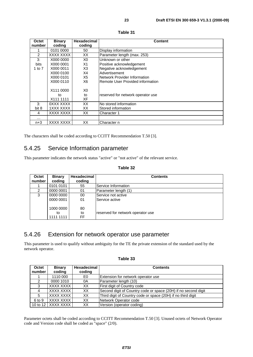| Octet          | <b>Binary</b> | <b>Hexadecimal</b> | <b>Content</b>                    |
|----------------|---------------|--------------------|-----------------------------------|
| number         | coding        | coding             |                                   |
| 1              | 0101 0000     | 50                 | Display information               |
| $\overline{2}$ | XXXX XXXX     | XX                 | Parameter length (max. 253)       |
| 3:             | X000 0000     | X0                 | Unknown or other                  |
| <b>bits</b>    | X000 0001     | X1                 | Positive acknowledgement          |
| 1 to $7$       | X000 0011     | X3                 | Negative acknowledgement          |
|                | X000 0100     | X4                 | Advertisement                     |
|                | X000 0101     | X5                 | Network Provider Information      |
|                | X000 0110     | X6                 | Remote User Provided information  |
|                | X111 0000     | X0                 |                                   |
|                | to            | to                 | reserved for network operator use |
|                | X111 1111     | ХF                 |                                   |
| 3:             | 0XXX XXXX     | XX                 | No stored information             |
| bit 8          | 1XXX XXXX     | XX.                | Stored information                |
| 4              | XXXX XXXX     | XX                 | Character 1                       |
| $\cdots$       |               |                    |                                   |
| $n+3$          | XXXX XXXX     | XX                 | Character n                       |

| abı<br>e |  |
|----------|--|
|----------|--|

The characters shall be coded according to CCITT Recommendation T.50 [3].

### 5.4.25 Service Information parameter

This parameter indicates the network status "active" or "not active" of the relevant service.

#### **Table 32**

| Octet  | <b>Binary</b> | <b>Hexadecimal</b> | <b>Contents</b>                   |
|--------|---------------|--------------------|-----------------------------------|
| number | coding        | coding             |                                   |
|        | 0101 0101     | 55                 | Service Information               |
| 2      | 0000 0001     | 01                 | Parameter length (1)              |
| 3      | 0000 0000     | 00                 | Service not active                |
|        | 0000 0001     | 01                 | Service active                    |
|        |               |                    |                                   |
|        | 1000 0000     | 80                 |                                   |
|        | to            | to                 | reserved for network operator use |
|        | 1111 1111     | FF                 |                                   |

#### 5.4.26 Extension for network operator use parameter

This parameter is used to qualify without ambiguity for the TE the private extension of the standard used by the network operator.

#### **Table 33**

| Octet  | <b>Binary</b>        | Hexadecimal | <b>Contents</b>                                                |
|--------|----------------------|-------------|----------------------------------------------------------------|
| number | coding               | coding      |                                                                |
|        | 1110 000             | E0.         | Extension for network operator use                             |
|        | 0000 1010            | 0A          | Parameter length (10)                                          |
| 3      | XXXX XXXX            | XX.         | <b>First digit of Country code</b>                             |
| 4      | XXXX XXXX            | XX.         | Second digit of Country code or space (20H) if no second digit |
| 5      | XXXX XXXX            | XX.         | Third digit of Country code or space (20H) if no third digit   |
| 6 to 9 | XXXX XXXX            | XX.         | Network Operator code                                          |
|        | 10 to 12   XXXX XXXX | XX          | Version (operator coding)                                      |

Parameter octets shall be coded according to CCITT Recommendation T.50 [3]. Unused octets of Network Operator code and Version code shall be coded as "space" (2/0).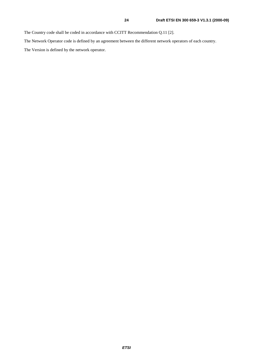The Country code shall be coded in accordance with CCITT Recommendation Q.11 [2].

The Network Operator code is defined by an agreement between the different network operators of each country.

The Version is defined by the network operator.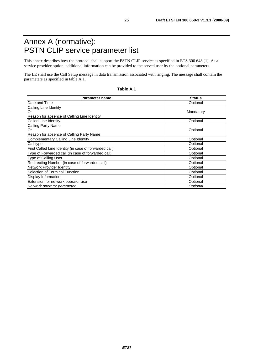## Annex A (normative): PSTN CLIP service parameter list

This annex describes how the protocol shall support the PSTN CLIP service as specified in ETS 300 648 [1]. As a service provider option, additional information can be provided to the served user by the optional parameters.

The LE shall use the Call Setup message in data transmission associated with ringing. The message shall contain the parameters as specified in table A.1.

| Table A.1 |  |
|-----------|--|
|-----------|--|

| <b>Parameter name</b>                                  | <b>Status</b> |
|--------------------------------------------------------|---------------|
| Date and Time                                          | Optional      |
| Calling Line Identity                                  |               |
| lOr                                                    | Mandatory     |
| Reason for absence of Calling Line Identity            |               |
| Called Line Identity                                   | Optional      |
| Calling Party Name                                     |               |
| lOr                                                    | Optional      |
| Reason for absence of Calling Party Name               |               |
| Complementary Calling Line Identity                    | Optional      |
| Call type                                              | Optional      |
| First Called Line Identity (in case of forwarded call) | Optional      |
| Type of Forwarded call (in case of forwarded call)     | Optional      |
| <b>Type of Calling User</b>                            | Optional      |
| Redirecting Number (in case of forwarded call)         | Optional      |
| Network Provider Identity                              | Optional      |
| Selection of Terminal Function                         | Optional      |
| Display Information                                    | Optional      |
| Extension for network operator use                     | Optional      |
| Network operator parameter                             | Optional      |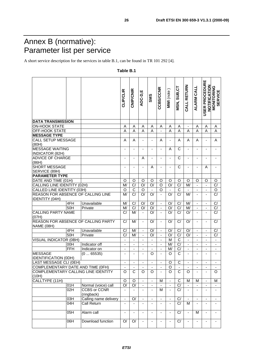## Annex B (normative): Parameter list per service

A short service description for the services in table B.1, can be found in TR 101 292 [4].

#### **USER PROCEDURE USER PROCEDURE MONITORING**<br>SERVICE CALL RETURN NOTIFICATION **CALL RETURN NOTIFICATION MSN, SUB, CT MSN, SUB,CT ALARM CALL MONITORING ALARM CALL** CCBS/CCNR **CCBS/CCNR CLIP/CLIR CNIP/CNIR MWI** (note ) **AOC-D,E** MWI (note) **SERVICE SMS DATA TRANSMISSION** ON-HOOK STATE A A A A A A A - A A A OFF-HOOK STATE A A A A - A A A A A A **MESSAGE TYPE** CALL SETUP MESSAGE A | A | - | - | A | - | A | A | A | - | A (80H) MESSAGE WAITING - | - | - | - | - | A | C | - | - | - | -INDICATOR (82H) ADVICE OF CHARGE - | - | A | - | - | - | C | - | - | - | -(86H) SHORT MESSAGE - | - | - | A | - | - | C | - | - | A | -SERVICE (89H) **PARAMETER TYPE** DATE AND TIME (01H) O O O O O O O O O O O CALLING LINE IDENTITY (02H) M/ C/ O/ O/ O/ O O/ C/ M/ - | - | C/<br>CALLED LINE IDENTITY (03H) OCO - O - O - C - | - | O CALLED LINE IDENTITY (03H) O C O - O - C - - - O REASON FOR ABSENCE OF CALLING LINE M/ C/ O/ O/ - O/ C/ M/ - - C/ IDENTITY (04H) 4FH Unavailable M/ C/ O/ O/ - O/ C/ M/ - - C/ 50H Private M/ C/ O/ O/ - O/ C/ M/ - - C/ CALLING PARTY NAME C/ | M/ | - | O/ | - | O/ | C/ | O/ | - | - | C/ (07H) REASON FOR ABSENCE OF CALLING PARTY C/ | M/ | - | O/ | - | O/ | C/ | O/ | - | - | C/ NAME (08H) 4FH Unavailable C/ M/ - O/ - O/ C/ O/ - - C/<br>50H Private C/ M/ - O/ - O/ C/ O/ - - C/ 50H Private C/ M/ - O/ - O/ C/ O/ - - C/ VISUAL INDICATOR (0BH) - - - - - M C - - - -  $\frac{1}{2}$  Indicator of  $\frac{1}{2}$   $\frac{1}{2}$   $\frac{1}{2}$   $\frac{1}{2}$   $\frac{1}{2}$   $\frac{1}{2}$   $\frac{1}{2}$   $\frac{1}{2}$   $\frac{1}{2}$   $\frac{1}{2}$   $\frac{1}{2}$   $\frac{1}{2}$   $\frac{1}{2}$   $\frac{1}{2}$   $\frac{1}{2}$   $\frac{1}{2}$   $\frac{1}{2}$   $\frac{1}{2}$   $\frac{1}{2}$   $\frac{1}{2}$ FFH  $\Box$  Indicator on  $\Box$  -  $\Box$  -  $\Box$  -  $\Box$  -  $\Box$  -  $\Box$  -  $\Box$  -  $\Box$  -  $\Box$  -  $\Box$  -  $\Box$  -  $\Box$  -  $\Box$  -  $\Box$  -  $\Box$  -  $\Box$  -  $\Box$  -  $\Box$  -  $\Box$  -  $\Box$  -  $\Box$  -  $\Box$  -  $\Box$  -  $\Box$  -  $\Box$  -  $\Box$  -  $\Box$  -  $\Box$  -  $\Box$ (0 ... 65535) - - - O - O C - - - - **MESSAGE** IDENTIFICATION (0DH) LAST MESSAGE CLI (0EH) - - - - - OC - - - - COMPLEMENTARY DATE AND TIME (OFH) - - - - O - - - - -COMPLEMENTARY CALLING LINE IDENTITY OCOO - OCO - - O (10H) CALLTYPE (11H) O O - - M - C M M - M 01H Normal (voice) call O/ O/ - - - - C/ - - - - 02H CCBS or CCNR - | - | - | - | M | - | C/ | - | - | - | -(ringback) 03H Calling name delivery - O/ - - - - C/ - - - - 04H Call Return  $\vert - \vert - \vert - \vert - \vert - \vert - \vert C / \vert M \vert - \vert - \vert - \vert - \vert$ 05H | Alarm call  $\vert - \vert - \vert - \vert - \vert - \vert - \vert - \vert C / \vert - \vert M \vert - \vert -$ 06H Download function O/ O/ - - - - C/ - - - -

#### **Table B.1**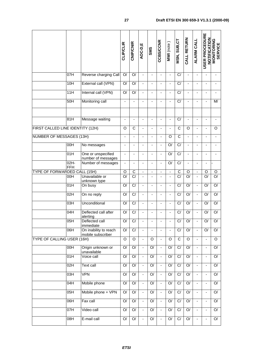|                                   |                       |                                            | <b>CLIP/CLIR</b>             | <b>CNIP/CNIR</b>   | AOC-D,E                  | <b>SMS</b>               | <b>CCBS/CCNR</b>             | MWI (note)               | MSN, SUB,CT             | CALL RETURN              | <b>ALARM CALL</b>        | USER PROCEDURE           | <b>NOTIFICATION<br/>MONITORING<br/>SERVICE</b> |
|-----------------------------------|-----------------------|--------------------------------------------|------------------------------|--------------------|--------------------------|--------------------------|------------------------------|--------------------------|-------------------------|--------------------------|--------------------------|--------------------------|------------------------------------------------|
|                                   | 07H                   | Reverse charging Call                      | O/                           | O/                 | $\overline{\phantom{0}}$ | ÷,                       | ä,                           | $\frac{1}{2}$            | C/                      | $\blacksquare$           |                          |                          | $\qquad \qquad \blacksquare$                   |
|                                   | 10H                   | External call (VPN)                        | O/                           | O/                 |                          | $\blacksquare$           |                              | $\overline{\phantom{a}}$ | $\overline{C}$          |                          | ÷,                       |                          |                                                |
|                                   | 11H                   | Internal call (VPN)                        | O/                           | O/                 | $\blacksquare$           | $\blacksquare$           | ÷,                           | ÷                        | C/                      | $\blacksquare$           | ٠                        |                          | $\overline{\phantom{a}}$                       |
|                                   | 50H                   | Monitoring call                            |                              |                    |                          |                          |                              |                          | $\overline{C}$          |                          |                          |                          | M/                                             |
|                                   | 81H                   | Message waiting                            |                              |                    |                          |                          |                              |                          | $\overline{C}$          |                          |                          |                          |                                                |
| FIRST CALLED LINE IDENTITY (12H)  |                       |                                            | O                            | $\overline{C}$     |                          | $\blacksquare$           | L,                           | $\overline{\phantom{0}}$ | $\overline{\text{c}}$   | O                        | ÷,                       |                          | O                                              |
| <b>NUMBER OF MESSAGES (13H)</b>   |                       |                                            | $\overline{\phantom{a}}$     | $\blacksquare$     |                          | $\blacksquare$           | $\qquad \qquad \blacksquare$ | O                        | $\overline{C}$          | $\blacksquare$           | -                        |                          |                                                |
|                                   | 00H                   | No messages                                | $\qquad \qquad \blacksquare$ | $\overline{a}$     |                          |                          | $\qquad \qquad \blacksquare$ | $\overline{O}$           | C/                      | $\overline{\phantom{m}}$ | Ĭ.                       |                          |                                                |
|                                   | 01H                   | One or unspecified<br>number of messages   | ä,                           | ä,                 | $\overline{\phantom{a}}$ | ÷,                       | $\frac{1}{2}$                | $\overline{O}$           | C/                      | $\blacksquare$           | ÷,                       |                          |                                                |
|                                   | $02H -$<br><b>FFH</b> | Number of messages                         | $\overline{\phantom{a}}$     | $\overline{a}$     |                          |                          | $\overline{\phantom{0}}$     | $\overline{O}$           | C/                      | $\overline{\phantom{a}}$ | ÷                        |                          |                                                |
| TYPE OF FORWARDED CALL (15H)      |                       |                                            | O                            | C                  | ÷,                       | $\blacksquare$           | ÷,                           | $\frac{1}{2}$            | $\overline{C}$          | O                        | $\blacksquare$           | O                        | $\circ$                                        |
|                                   | 00H                   | Unavailable or<br>unknown type             | $\overline{\rm O}$           | $\overline{C}$     |                          |                          | ä,                           | $\overline{\phantom{a}}$ | $\overline{C}$          | $\overline{O}$           | $\overline{a}$           | $\overline{O}$           | $\overline{O}$                                 |
|                                   | 01H                   | On busy                                    | $\overline{\rm O}$           | $\overline{C}$     |                          |                          |                              | -                        | C/                      | $\overline{O}$           | ÷,                       | O/                       | $\overline{O}$                                 |
|                                   | 02H                   | On no reply                                | $\overline{O}$               | C/                 | ÷                        | $\blacksquare$           | L,                           | $\overline{\phantom{0}}$ | C/                      | $\overline{O}$           | ÷,                       | O/                       | $\overline{O}$                                 |
|                                   | 03H                   | Unconditional                              | $\overline{O}$               | C/                 |                          |                          |                              |                          | C/                      | $\overline{O}$           | ÷,                       | O/                       | $\overline{O}$                                 |
|                                   | 04H                   | Deflected call after<br>alerting           | $\overline{O}$               | C/                 |                          |                          |                              |                          | C/                      | O/                       |                          | O/                       | $\overline{O}$                                 |
|                                   | 05H                   | Deflected call<br>immediate                | $\overline{O}$               | $\overline{C}$     |                          |                          | -                            | $\overline{\phantom{a}}$ | $\overline{C}$          | $\overline{O}$           |                          | $\overline{O}$           | $\overline{O}$                                 |
|                                   | $\overline{OBH}$      | On inability to reach<br>mobile subscriber | $\overline{O}$               | $\overline{C}$     | $\overline{\phantom{a}}$ | $\overline{\phantom{a}}$ | $\overline{\phantom{a}}$     | $\overline{\phantom{a}}$ | $\overline{C}$          | $\overline{O}$           | $\blacksquare$           | O/                       | $\overline{O}$                                 |
| <b>TYPE OF CALLING USER (16H)</b> |                       |                                            | $\overline{O}$               | $\overline{\circ}$ | $\blacksquare$           | O                        | ÷,                           | O                        | $\overline{\mathsf{C}}$ | $\overline{O}$           | $\blacksquare$           |                          | $\overline{O}$                                 |
|                                   | $\overline{OOH}$      | Origin unknown or<br>unavailable           | O/                           | O/                 | $\blacksquare$           | O/                       | $\blacksquare$               | O/                       | $\overline{C}$          | O/                       | $\overline{\phantom{a}}$ | $\blacksquare$           | O/                                             |
|                                   | 01H                   | Voice call                                 | O/                           | $\mathsf{O}/$      | $\blacksquare$           | O/                       | $\blacksquare$               | $\mathsf{O}/$            | $\overline{C}$          | $\mathsf{O}/$            | $\blacksquare$           |                          | O/                                             |
|                                   | 02H                   | <b>Text call</b>                           | O/                           | $\overline{O}$     | $\blacksquare$           | $\overline{Q}$           | $\blacksquare$               | O/                       | $\overline{C}$          | $\mathsf{O}/$            | $\blacksquare$           | $\overline{\phantom{a}}$ | O/                                             |
|                                   | 03H                   | VPN                                        | O/                           | $\mathsf{O}/$      | ÷.                       | $\mathsf{O}/$            | $\blacksquare$               | $\mathsf{O}/$            | $\overline{C}$          | $\mathsf{O}/$            | $\blacksquare$           |                          | O/                                             |
|                                   | 04H                   | Mobile phone                               | O/                           | $\mathsf{O}/$      | $\overline{\phantom{a}}$ | O/                       | $\blacksquare$               | $\mathsf{O}/$            | $\overline{C}$          | $\mathsf{O}/$            | $\overline{\phantom{a}}$ | $\overline{\phantom{a}}$ | O/                                             |
|                                   | 05H                   | Mobile phone + VPN                         | O/                           | $\mathsf{O}/$      | $\blacksquare$           | O/                       | $\blacksquare$               | $\mathsf{O}/$            | $\overline{C}$          | $\overline{O}$           | $\blacksquare$           |                          | O/                                             |
|                                   | 06H                   | Fax call                                   | O/                           | $\mathsf{O}/$      | $\blacksquare$           | $\overline{Q}$           | $\blacksquare$               | O/                       | $\overline{C}$          | $\mathsf{O}/$            | $\blacksquare$           | $\overline{\phantom{a}}$ | O/                                             |
|                                   | 07H                   | Video call                                 | O/                           | $\mathsf{O}/$      | ÷,                       | O/                       | ÷,                           | O/                       | $\overline{C}$          | $\mathsf{O}/$            | $\overline{\phantom{a}}$ |                          | O/                                             |
|                                   | 08H                   | E-mail call                                | $\mathsf{O}/$                | $\mathsf{O}/$      | $\blacksquare$           | $\mathsf{O}/$            | $\overline{\phantom{a}}$     | $\mathsf{O}/$            | $\overline{C}$          | O/                       | $\overline{\phantom{a}}$ | $\overline{\phantom{a}}$ | O/                                             |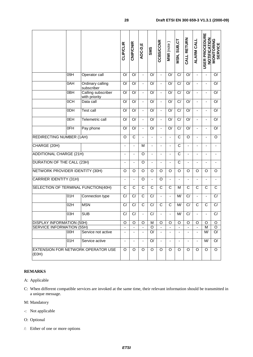|                                                    |                                 |                                     | <b>CLIP/CLIR</b>             | <b>CNIP/CNIR</b>             | AOC-D,E                  | SMS                      | <b>CCBS/CCNR</b>             | MWI (note)               | MSN, SUB, CT             | CALL RETURN              | <b>ALARM CALL</b>        | USER PROCEDURE<br>NOTIFICATION | <b>MONITORING</b><br>SERVICE |
|----------------------------------------------------|---------------------------------|-------------------------------------|------------------------------|------------------------------|--------------------------|--------------------------|------------------------------|--------------------------|--------------------------|--------------------------|--------------------------|--------------------------------|------------------------------|
|                                                    | 09H                             | Operator call                       | O/                           | O/                           | $\blacksquare$           | O/                       | $\overline{a}$               | O/                       | C/                       | O/                       | $\blacksquare$           | $\blacksquare$                 | O/                           |
|                                                    | 0AH                             | Ordinary calling<br>subscriber      | O/                           | O/                           | $\blacksquare$           | O/                       | $\overline{a}$               | O/                       | $\overline{C}$           | O/                       | $\blacksquare$           |                                | O/                           |
|                                                    | $\overline{OBH}$                | Calling subscriber<br>with priority | O/                           | O/                           | $\blacksquare$           | O/                       | $\overline{a}$               | O/                       | $\overline{C}$           | O/                       | $\blacksquare$           |                                | O/                           |
|                                                    | 0CH                             | Data call                           | O/                           | O/                           |                          | O/                       |                              | O/                       | C/                       | $\overline{O}$           |                          |                                | O/                           |
|                                                    | ODH                             | <b>Test call</b>                    | O/                           | $\overline{O}$               | $\blacksquare$           | O/                       | ä,                           | O/                       | $\overline{C}$           | O/                       | ÷,                       |                                | O/                           |
|                                                    | 0EH                             | <b>Telemetric call</b>              | O/                           | $\overline{O}$               | $\blacksquare$           | O/                       |                              | $\overline{O}$           | $\overline{C}$           | $\overline{O}$           |                          |                                | O/                           |
|                                                    | $\overline{OFH}$                | Pay phone                           | O/                           | O/                           | $\blacksquare$           | O/                       | ä,                           | $\overline{O}$           | $\overline{C}$           | O/                       | ä,                       |                                | O/                           |
|                                                    | <b>REDIRECTING NUMBER (1AH)</b> |                                     |                              | $\overline{\text{c}}$        |                          |                          |                              |                          | $\overline{\text{c}}$    | $\overline{O}$           |                          |                                | O                            |
| CHARGE (20H)                                       |                                 |                                     | $\qquad \qquad \blacksquare$ | $\frac{1}{2}$                | M                        | $\overline{\phantom{a}}$ | $\qquad \qquad \blacksquare$ | $\overline{\phantom{a}}$ | $\mathsf C$              | $\overline{\phantom{a}}$ | $\overline{\phantom{a}}$ |                                | $\overline{\phantom{a}}$     |
| <b>ADDITIONAL CHARGE (21H)</b>                     |                                 |                                     | $\blacksquare$               | $\overline{\phantom{a}}$     | $\overline{O}$           | $\overline{\phantom{a}}$ | $\overline{\phantom{0}}$     | $\overline{\phantom{a}}$ | $\overline{C}$           | $\blacksquare$           | $\overline{\phantom{a}}$ |                                |                              |
| <b>DURATION OF THE CALL (23H)</b>                  |                                 |                                     |                              | $\overline{a}$               | O                        | ÷,                       |                              |                          | $\overline{C}$           |                          | ÷,                       |                                |                              |
| NETWORK PROVIDER IDENTITY (30H)                    |                                 |                                     | $\circ$                      | O                            | O                        | O                        | O                            | $\circ$                  | O                        | O                        | O                        | O                              | O                            |
| <b>CARRIER IDENTITY (31H)</b>                      |                                 |                                     | $\overline{\phantom{a}}$     | $\frac{1}{2}$                | O                        | ä,                       | O                            | $\blacksquare$           | $\overline{\phantom{a}}$ | $\overline{\phantom{a}}$ | $\overline{\phantom{a}}$ | ٠                              | $\overline{\phantom{a}}$     |
|                                                    |                                 | SELECTION OF TERMINAL FUNCTION(40H) | $\overline{C}$               | $\overline{C}$               | $\overline{C}$           | $\overline{C}$           | $\overline{C}$               | $\overline{C}$           | М                        | $\overline{\mathsf{C}}$  | $\overline{\text{c}}$    | $\overline{C}$                 | $\overline{C}$               |
|                                                    | 01H                             | Connection type                     | C/                           | C/                           | $\overline{C}$           | C/                       | $\frac{1}{2}$                | $\blacksquare$           | M/                       | C/                       | $\overline{\phantom{a}}$ |                                | C/                           |
|                                                    | 02H                             | <b>MSN</b>                          | C/                           | $\overline{C}$               | $\overline{C}$           | C/                       | C                            | C                        | M/                       | C/                       | C                        | C                              | C/                           |
|                                                    | 03H                             | <b>SUB</b>                          | C/                           | C/                           | $\blacksquare$           | C/                       |                              | $\blacksquare$           | M/                       | C/                       | $\overline{\phantom{a}}$ |                                | C/                           |
| <b>DISPLAY INFORMATION (50H)</b>                   |                                 |                                     | O                            | O                            | O                        | м                        | O                            | $\circ$                  | O                        | O                        | O                        | O                              | O                            |
| <b>SERVICE INFORMATION (55H)</b>                   |                                 |                                     | $\blacksquare$               | $\blacksquare$               | $\blacksquare$           | O                        | $\blacksquare$               | $\overline{\phantom{a}}$ | $\blacksquare$           |                          | $\blacksquare$           | M                              | O                            |
|                                                    | 00H                             | Service not active                  | $\overline{\phantom{a}}$     | $\qquad \qquad \blacksquare$ | $\overline{\phantom{a}}$ | O/                       | $\overline{\phantom{a}}$     | $\overline{\phantom{a}}$ | $\overline{\phantom{a}}$ |                          | $\overline{\phantom{a}}$ | M/                             | O/                           |
|                                                    | 01H                             | Service active                      | $\overline{\phantom{a}}$     | -                            |                          | O/                       |                              |                          | $\overline{\phantom{a}}$ | $\overline{\phantom{a}}$ | $\overline{\phantom{a}}$ | M/                             | O/                           |
| <b>EXTENSION FOR NETWORK OPERATOR USE</b><br>(E0H) |                                 |                                     | O                            | O                            | O                        | O                        | O                            | O                        | O                        | O                        | O                        | O                              | O                            |

#### **REMARKS**

- A: Applicable
- C: When different compatible services are invoked at the same time, their relevant information should be transmitted in a unique message.
- M: Mandatory
- -: Not applicable
- O: Optional
- /: Either of one or more options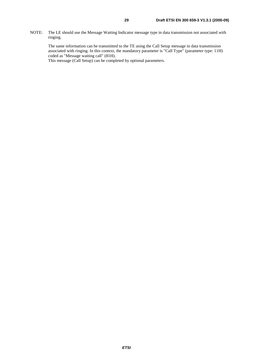NOTE: The LE should use the Message Waiting Indicator message type in data transmission not associated with ringing.

The same information can be transmitted to the TE using the Call Setup message in data transmission associated with ringing. In this context, the mandatory parameter is "Call Type" (parameter type: 11H) coded as "Message waiting call" (81H).

This message (Call Setup) can be completed by optional parameters.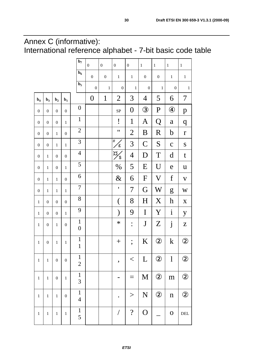## Annex C (informative): International reference alphabet - 7-bit basic code table

|                  |                  |                  |                  | $\mathbf{b}_7$                   | $\boldsymbol{0}$ | $\boldsymbol{0}$ | $\boldsymbol{0}$     | $\boldsymbol{0}$         | $\,1\,$          | $\mathbf 1$      | $\,1\,$            | $\,1\,$                   |
|------------------|------------------|------------------|------------------|----------------------------------|------------------|------------------|----------------------|--------------------------|------------------|------------------|--------------------|---------------------------|
|                  |                  |                  |                  | $b6$                             | $\boldsymbol{0}$ | $\boldsymbol{0}$ | $\,1$                | $\,1\,$                  | $\boldsymbol{0}$ | $\boldsymbol{0}$ | $\,1$              | $\,1\,$                   |
|                  |                  |                  |                  | $b5$                             | $\boldsymbol{0}$ | $\,1$            | $\boldsymbol{0}$     | $\mathbf 1$              | $\boldsymbol{0}$ | $\,1$            | $\boldsymbol{0}$   | $\mathbf{1}$              |
| $\mathbf{b}_4$   | $b3$             | $\mathbf{b}_2$   | $\mathbf{b}_1$   |                                  | $\boldsymbol{0}$ | $\mathbf{1}$     | $\overline{2}$       | 3                        | $\overline{4}$   | 5                | 6                  | 7                         |
| $\boldsymbol{0}$ | $\boldsymbol{0}$ | $\boldsymbol{0}$ | $\boldsymbol{0}$ | $\boldsymbol{0}$                 |                  |                  | SP                   | $\boldsymbol{0}$         | $\circled{3}$    | $\mathbf P$      | $\circledast$      | $\mathbf{p}$              |
| $\boldsymbol{0}$ | $\boldsymbol{0}$ | $\boldsymbol{0}$ | $\mathbf{1}$     | $\mathbf{1}$                     |                  |                  | i                    | $\mathbf{1}$             | $\mathbf{A}$     | Q                | $\mathbf a$        | $\boldsymbol{q}$          |
| $\boldsymbol{0}$ | $\boldsymbol{0}$ | $\,1$            | $\boldsymbol{0}$ | $\overline{2}$                   |                  |                  | $^{\prime}$          | $\overline{2}$           | B                | R                | $\mathbf b$        | $\mathbf r$               |
| $\boldsymbol{0}$ | $\boldsymbol{0}$ | $\,1$            | $\mathbf{1}$     | 3                                |                  |                  | #<br>$\mathbf{f}$    | 3                        | $\mathsf{C}$     | S                | $\mathbf C$        | ${\bf S}$                 |
| $\boldsymbol{0}$ | $\,1$            | $\boldsymbol{0}$ | $\boldsymbol{0}$ | $\overline{\mathcal{A}}$         |                  |                  | $\overline{A}$<br>\$ | $\overline{4}$           | D                | T                | d                  | $\mathbf t$               |
| $\boldsymbol{0}$ | $\,1$            | $\boldsymbol{0}$ | $\mathbf{1}$     | 5                                |                  |                  | $\%$                 | 5                        | E                | U                | e                  | $\mathbf u$               |
| $\boldsymbol{0}$ | $\,1$            | $\,1$            | $\boldsymbol{0}$ | $\boldsymbol{6}$                 |                  |                  | $\&$                 | 6                        | $\mathbf F$      | $\rm V$          | $\boldsymbol{f}$   | $\mathbf V$               |
| $\boldsymbol{0}$ | $\,1$            | $\,1$            | $\mathbf{1}$     | $\boldsymbol{7}$                 |                  |                  | $\pmb{\mathsf{I}}$   | 7                        | G                | $\rm W$          | g                  | W                         |
| $\,1$            | $\boldsymbol{0}$ | $\boldsymbol{0}$ | $\boldsymbol{0}$ | $8\,$                            |                  |                  | $\big($              | 8                        | H                | X                | $\boldsymbol{h}$   | $\boldsymbol{\mathrm{X}}$ |
| $\,1$            | $\boldsymbol{0}$ | $\boldsymbol{0}$ | $\mathbf{1}$     | 9                                |                  |                  | $\mathcal{E}$        | 9                        | I                | Y                | $\mathbf{i}$       | y                         |
| $\,1\,$          | $\boldsymbol{0}$ | $\,1$            | $\boldsymbol{0}$ | $\mathbf{1}$<br>$\boldsymbol{0}$ |                  |                  | $\ast$               | $\ddot{\cdot}$           | ${\bf J}$        | Z                | $\dot{\mathbf{j}}$ | Z                         |
| $\,1$            | $\boldsymbol{0}$ | $\,1$            | $\mathbf{1}$     | $\mathbf{1}$<br>$\mathbf{1}$     |                  |                  | $\! + \!$            | $\frac{1}{2}$            | K                | $\circledZ$      | $\mathbf k$        | $\circled{2}$             |
| $\,1$            | $\mathbf 1$      | $\boldsymbol{0}$ | $\boldsymbol{0}$ | $\mathbf{1}$<br>$\overline{2}$   |                  |                  | ,                    | $<\,$                    | L                | $\circled{2}$    | $\mathbf{l}$       | $\circled{2}$             |
| $\,1$            | $\,1$            | $\boldsymbol{0}$ | $\,1$            | $\mathbf{1}$<br>3                |                  |                  |                      |                          | M                | $\circled{2}$    | ${\bf m}$          | $\circled{2}$             |
| $\,1$            | $\,1$            | $\mathbf{1}$     | $\boldsymbol{0}$ | $\mathbf{1}$<br>$\overline{4}$   |                  |                  |                      | >                        | N                | $\circled{2}$    | $\mathbf n$        | $\circled{2}$             |
| $\,1$            | $\,1$            | $\,1$            | $\,1$            | $\mathbf 1$<br>5                 |                  |                  | $\overline{1}$       | $\overline{\mathcal{L}}$ | $\overline{O}$   |                  | $\mathbf 0$        | $\rm{DEL}$                |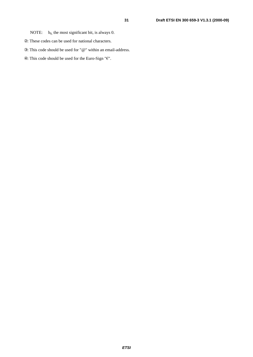- ②: These codes can be used for national characters.
- ③: This code should be used for "@" within an email-address.
- $\circledast$  : This code should be used for the Euro-Sign "E".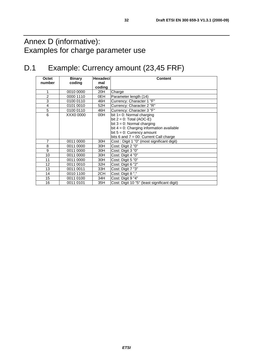## Annex D (informative): Examples for charge parameter use

## D.1 Example: Currency amount (23,45 FRF)

| Octet          | <b>Binary</b> | <b>Hexadeci</b> | <b>Content</b>                               |  |  |  |  |  |
|----------------|---------------|-----------------|----------------------------------------------|--|--|--|--|--|
| number         | coding        | mal             |                                              |  |  |  |  |  |
|                |               | coding          |                                              |  |  |  |  |  |
| 1              | 0010 0000     | 20H             | Charge                                       |  |  |  |  |  |
| $\overline{2}$ | 0000 1110     | 0EH             | Parameter length (14)                        |  |  |  |  |  |
| 3              | 0100 0110     | 46H             | Currency: Character 1 "F"                    |  |  |  |  |  |
| $\overline{4}$ | 0101 0010     | 52H             | Currency: Character 2 "R"                    |  |  |  |  |  |
| 5              | 0100 0110     | 46H             | Currency: Character 3 "F"                    |  |  |  |  |  |
| 6              | XXX0 0000     | 00H             | bit $1 = 0$ : Normal charging                |  |  |  |  |  |
|                |               |                 | bit $2 = 0$ : Total (AOC-E)                  |  |  |  |  |  |
|                |               |                 | bit $3 = 0$ : Normal charging                |  |  |  |  |  |
|                |               |                 | bit $4 = 0$ : Charging information available |  |  |  |  |  |
|                |               |                 | bit $5 = 0$ : Currency amount                |  |  |  |  |  |
|                |               |                 | bits 6 and $7 = 00$ : Current Call charge    |  |  |  |  |  |
| $\overline{7}$ | 0011 0000     | 30H             | Cost: Digit 1 "0" (most significant digit)   |  |  |  |  |  |
| 8              | 0011 0000     | 30H             | Cost: Digit 2 "0"                            |  |  |  |  |  |
| 9              | 0011 0000     | 30H             | Cost: Digit 3 "0"                            |  |  |  |  |  |
| 10             | 0011 0000     | 30H             | Cost: Digit 4 "0"                            |  |  |  |  |  |
| 11             | 0011 0000     | 30H             | Cost: Digit 5 "0"                            |  |  |  |  |  |
| 12             | 0011 0010     | 32H             | Cost: Digit 6 "2"                            |  |  |  |  |  |
| 13             | 0011 0011     | 33H             | Cost: Digit 7 "3"                            |  |  |  |  |  |
| 14             | 0010 1100     | 2CH             | Cost: Digit 8","                             |  |  |  |  |  |
| 15             | 0011 0100     | 34H             | Cost: Digit 9 "4"                            |  |  |  |  |  |
| 16             | 0011 0101     | 35H             | Cost: Digit 10 "5" (least significant digit) |  |  |  |  |  |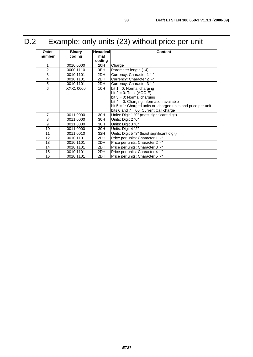| Octet          | <b>Binary</b> | <b>Hexadeci</b> | <b>Content</b>                                                   |  |  |  |  |  |
|----------------|---------------|-----------------|------------------------------------------------------------------|--|--|--|--|--|
| number         | coding        | mal             |                                                                  |  |  |  |  |  |
|                |               | coding          |                                                                  |  |  |  |  |  |
| 1              | 0010 0000     | 20H             | Charge                                                           |  |  |  |  |  |
| $\overline{2}$ | 0000 1110     | 0EH             | Parameter length (14)                                            |  |  |  |  |  |
| 3              | 0010 1101     | 2DH             | Currency: Character 1 "-"                                        |  |  |  |  |  |
| 4              | 0010 1101     | 2DH             | Currency: Character 2 "-"                                        |  |  |  |  |  |
| 5              | 0010 1101     | 2DH             | Currency: Character 3 "-"                                        |  |  |  |  |  |
| 6              | XXX1 0000     | 10H             | bit $1 = 0$ : Normal charging                                    |  |  |  |  |  |
|                |               |                 | bit $2 = 0$ : Total (AOC-E)                                      |  |  |  |  |  |
|                |               |                 | bit $3 = 0$ : Normal charging                                    |  |  |  |  |  |
|                |               |                 | bit $4 = 0$ : Charging information available                     |  |  |  |  |  |
|                |               |                 | bit $5 = 1$ : Charged units or, charged units and price per unit |  |  |  |  |  |
|                |               |                 | bits 6 and $7 = 00$ : Current Call charge                        |  |  |  |  |  |
| $\overline{7}$ | 0011 0000     | 30H             | Units: Digit 1 "0" (most significant digit)                      |  |  |  |  |  |
| 8              | 0011 0000     | 30H             | Units: Digit 2 "0"                                               |  |  |  |  |  |
| 9              | 0011 0000     | 30H             | Units: Digit 3 "0"                                               |  |  |  |  |  |
| 10             | 0011 0000     | 30H             | Units: Digit 4 "2"                                               |  |  |  |  |  |
| 11             | 0011 0010     | 32H             | Units: Digit 5 "3" (least significant digit)                     |  |  |  |  |  |
| 12             | 0010 1101     | 2DH             | Price per units: Character 1 "-"                                 |  |  |  |  |  |
| 13             | 0010 1101     | 2DH             | Price per units: Character 2 "-"                                 |  |  |  |  |  |
| 14             | 0010 1101     | 2DH             | Price per units: Character 3 "-"                                 |  |  |  |  |  |
| 15             | 0010 1101     | 2DH             | Price per units: Character 4 "-"                                 |  |  |  |  |  |
| 16             | 0010 1101     | 2DH             | Price per units: Character 5 "-"                                 |  |  |  |  |  |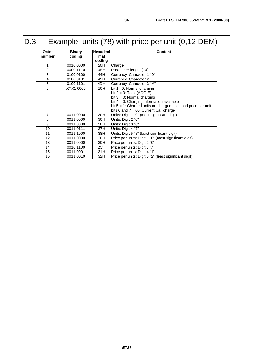## D.3 Example: units (78) with price per unit (0,12 DEM)

| <b>Octet</b>   | <b>Binary</b> | <b>Hexadeci</b> | <b>Content</b>                                                   |  |  |  |  |  |
|----------------|---------------|-----------------|------------------------------------------------------------------|--|--|--|--|--|
| number         | coding        | mal             |                                                                  |  |  |  |  |  |
|                |               | coding          |                                                                  |  |  |  |  |  |
| 1              | 0010 0000     | 20H             | Charge                                                           |  |  |  |  |  |
| $\overline{2}$ | 0000 1110     | 0EH             | Parameter length (14)                                            |  |  |  |  |  |
| 3              | 0100 0100     | 44H             | Currency: Character 1 "D"                                        |  |  |  |  |  |
| $\overline{4}$ | 0100 0101     | 45H             | Currency: Character 2 "E"                                        |  |  |  |  |  |
| 5              | 0100 1101     | 4DH             | Currency: Character 3 "M"                                        |  |  |  |  |  |
| 6              | XXX1 0000     | 10H             | bit $1 = 0$ : Normal charging                                    |  |  |  |  |  |
|                |               |                 | bit $2 = 0$ : Total (AOC-E)                                      |  |  |  |  |  |
|                |               |                 | bit $3 = 0$ : Normal charging                                    |  |  |  |  |  |
|                |               |                 | bit $4 = 0$ : Charging information available                     |  |  |  |  |  |
|                |               |                 | bit $5 = 1$ : Charged units or, charged units and price per unit |  |  |  |  |  |
|                |               |                 | bits 6 and $7 = 00$ : Current Call charge                        |  |  |  |  |  |
| $\overline{7}$ | 0011 0000     | 30H             | Units: Digit 1 "0" (most significant digit)                      |  |  |  |  |  |
| 8              | 0011 0000     | 30H             | Units: Digit 2 "0"                                               |  |  |  |  |  |
| 9              | 0011 0000     | 30H             | Units: Digit 3 "0"                                               |  |  |  |  |  |
| 10             | 0011 0111     | 37H             | Units: Digit 4 "7"                                               |  |  |  |  |  |
| 11             | 0011 1000     | 38H             | Units: Digit 5 "8" (least significant digit)                     |  |  |  |  |  |
| 12             | 0011 0000     | 30H             | Price per units: Digit 1 "0" (most significant digit)            |  |  |  |  |  |
| 13             | 0011 0000     | 30H             | Price per units: Digit 2 "0"                                     |  |  |  |  |  |
| 14             | 0010 1100     | 2CH             | Price per units: Digit 3","                                      |  |  |  |  |  |
| 15             | 0011 0001     | 31H             | Price per units: Digit 4 "1"                                     |  |  |  |  |  |
| 16             | 0011 0010     | 32H             | Price per units: Digit 5 "2" (least significant digit)           |  |  |  |  |  |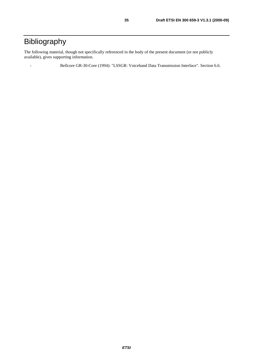## Bibliography

The following material, though not specifically referenced in the body of the present document (or not publicly available), gives supporting information.

- Bellcore GR-30-Core (1994): "LSSGR: Voiceband Data Transmission Interface". Section 6.6.